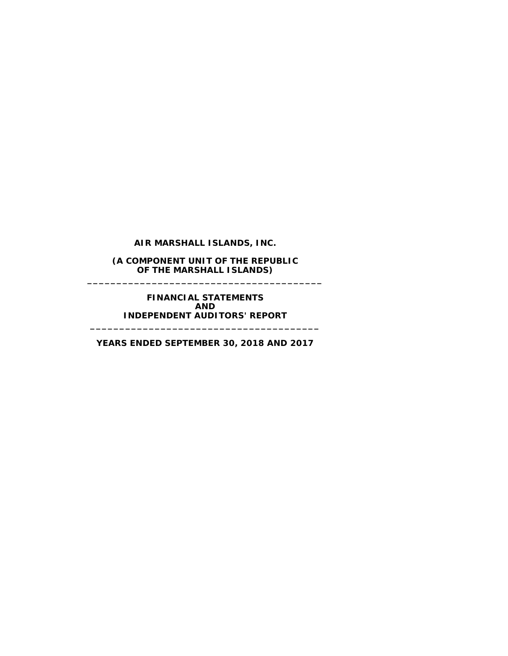**AIR MARSHALL ISLANDS, INC.**

**(A COMPONENT UNIT OF THE REPUBLIC OF THE MARSHALL ISLANDS) \_\_\_\_\_\_\_\_\_\_\_\_\_\_\_\_\_\_\_\_\_\_\_\_\_\_\_\_\_\_\_\_\_\_\_\_\_\_\_\_**

> **FINANCIAL STATEMENTS AND INDEPENDENT AUDITORS' REPORT**

**\_\_\_\_\_\_\_\_\_\_\_\_\_\_\_\_\_\_\_\_\_\_\_\_\_\_\_\_\_\_\_\_\_\_\_\_\_\_\_**

**YEARS ENDED SEPTEMBER 30, 2018 AND 2017**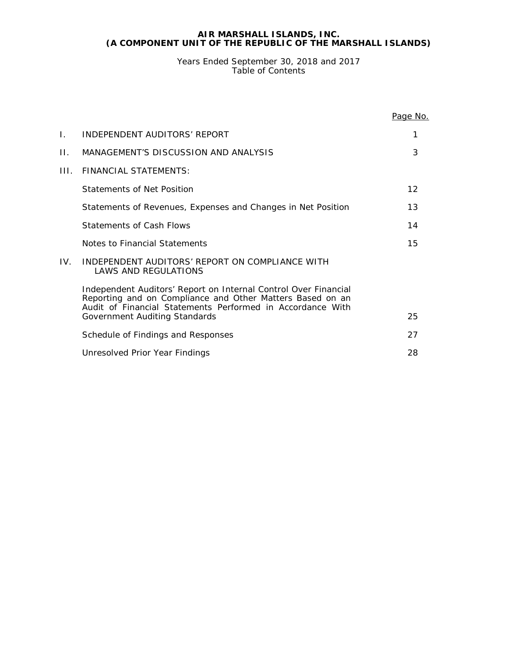Years Ended September 30, 2018 and 2017 Table of Contents

|     |                                                                                                                                                                                            | Page No. |
|-----|--------------------------------------------------------------------------------------------------------------------------------------------------------------------------------------------|----------|
| L.  | INDEPENDENT AUDITORS' REPORT                                                                                                                                                               | 1        |
| П.  | MANAGEMENT'S DISCUSSION AND ANALYSIS                                                                                                                                                       | 3        |
| HL. | FINANCIAL STATFMENTS:                                                                                                                                                                      |          |
|     | Statements of Net Position                                                                                                                                                                 | 12       |
|     | Statements of Revenues, Expenses and Changes in Net Position                                                                                                                               | 13       |
|     | Statements of Cash Flows                                                                                                                                                                   | 14       |
|     | Notes to Financial Statements                                                                                                                                                              | 15       |
| IV. | INDEPENDENT AUDITORS' REPORT ON COMPLIANCE WITH<br><b>LAWS AND REGULATIONS</b>                                                                                                             |          |
|     | Independent Auditors' Report on Internal Control Over Financial<br>Reporting and on Compliance and Other Matters Based on an<br>Audit of Financial Statements Performed in Accordance With |          |
|     | Government Auditing Standards                                                                                                                                                              | 25       |
|     | Schedule of Findings and Responses                                                                                                                                                         | 27       |
|     | Unresolved Prior Year Findings                                                                                                                                                             | 28       |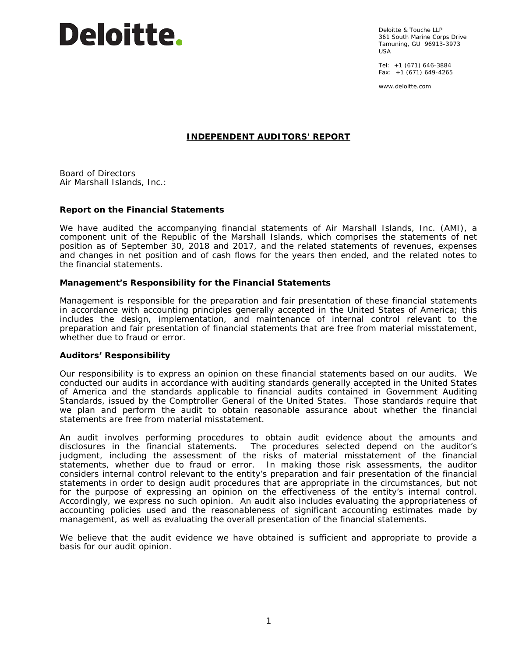# **Deloitte.**

Deloitte & Touche LLP 361 South Marine Corps Drive Tamuning, GU 96913-3973 USA

Tel: +1 (671) 646-3884 Fax: +1 (671) 649-4265

www.deloitte.com

# **INDEPENDENT AUDITORS' REPORT**

Board of Directors Air Marshall Islands, Inc.:

# **Report on the Financial Statements**

We have audited the accompanying financial statements of Air Marshall Islands, Inc. (AMI), a component unit of the Republic of the Marshall Islands, which comprises the statements of net position as of September 30, 2018 and 2017, and the related statements of revenues, expenses and changes in net position and of cash flows for the years then ended, and the related notes to the financial statements.

# *Management's Responsibility for the Financial Statements*

Management is responsible for the preparation and fair presentation of these financial statements in accordance with accounting principles generally accepted in the United States of America; this includes the design, implementation, and maintenance of internal control relevant to the preparation and fair presentation of financial statements that are free from material misstatement, whether due to fraud or error.

#### *Auditors' Responsibility*

Our responsibility is to express an opinion on these financial statements based on our audits. We conducted our audits in accordance with auditing standards generally accepted in the United States of America and the standards applicable to financial audits contained in *Government Auditing Standards*, issued by the Comptroller General of the United States. Those standards require that we plan and perform the audit to obtain reasonable assurance about whether the financial statements are free from material misstatement.

An audit involves performing procedures to obtain audit evidence about the amounts and disclosures in the financial statements. The procedures selected depend on the auditor's judgment, including the assessment of the risks of material misstatement of the financial statements, whether due to fraud or error. In making those risk assessments, the auditor considers internal control relevant to the entity's preparation and fair presentation of the financial statements in order to design audit procedures that are appropriate in the circumstances, but not for the purpose of expressing an opinion on the effectiveness of the entity's internal control. Accordingly, we express no such opinion. An audit also includes evaluating the appropriateness of accounting policies used and the reasonableness of significant accounting estimates made by management, as well as evaluating the overall presentation of the financial statements.

We believe that the audit evidence we have obtained is sufficient and appropriate to provide a basis for our audit opinion.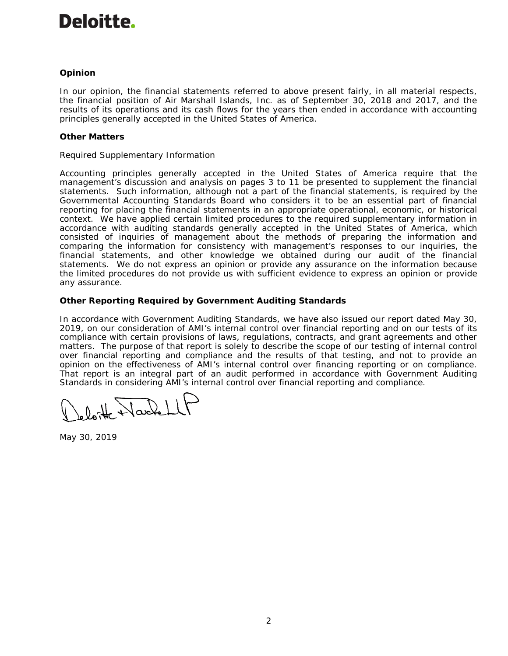# Deloitte.

# *Opinion*

In our opinion, the financial statements referred to above present fairly, in all material respects, the financial position of Air Marshall Islands, Inc. as of September 30, 2018 and 2017, and the results of its operations and its cash flows for the years then ended in accordance with accounting principles generally accepted in the United States of America.

# *Other Matters*

# *Required Supplementary Information*

Accounting principles generally accepted in the United States of America require that the management's discussion and analysis on pages 3 to 11 be presented to supplement the financial statements. Such information, although not a part of the financial statements, is required by the Governmental Accounting Standards Board who considers it to be an essential part of financial reporting for placing the financial statements in an appropriate operational, economic, or historical context. We have applied certain limited procedures to the required supplementary information in accordance with auditing standards generally accepted in the United States of America, which consisted of inquiries of management about the methods of preparing the information and comparing the information for consistency with management's responses to our inquiries, the financial statements, and other knowledge we obtained during our audit of the financial statements. We do not express an opinion or provide any assurance on the information because the limited procedures do not provide us with sufficient evidence to express an opinion or provide any assurance.

# **Other Reporting Required by** *Government Auditing Standards*

In accordance with *Government Auditing Standards*, we have also issued our report dated May 30, 2019, on our consideration of AMI's internal control over financial reporting and on our tests of its compliance with certain provisions of laws, regulations, contracts, and grant agreements and other matters. The purpose of that report is solely to describe the scope of our testing of internal control over financial reporting and compliance and the results of that testing, and not to provide an opinion on the effectiveness of AMI's internal control over financing reporting or on compliance. That report is an integral part of an audit performed in accordance with *Government Auditing Standards* in considering AMI's internal control over financial reporting and compliance.

loite Nachell

May 30, 2019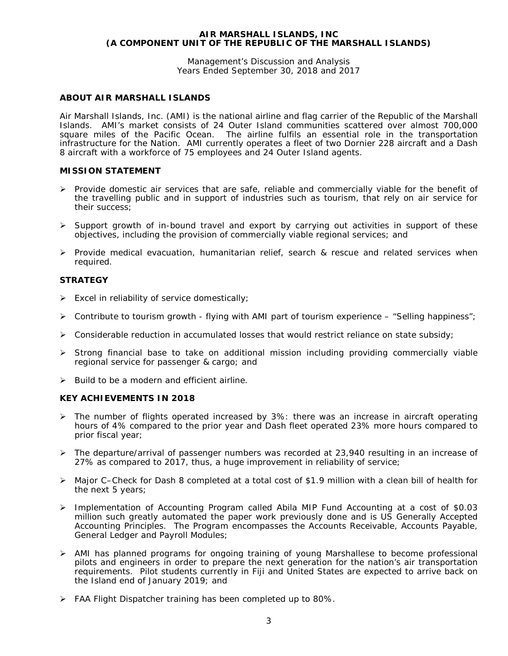Management's Discussion and Analysis Years Ended September 30, 2018 and 2017

# **ABOUT AIR MARSHALL ISLANDS**

Air Marshall Islands, Inc. (AMI) is the national airline and flag carrier of the Republic of the Marshall Islands. AMI's market consists of 24 Outer Island communities scattered over almost 700,000 square miles of the Pacific Ocean. The airline fulfils an essential role in the transportation infrastructure for the Nation. AMI currently operates a fleet of two Dornier 228 aircraft and a Dash 8 aircraft with a workforce of 75 employees and 24 Outer Island agents.

#### **MISSION STATEMENT**

- $\triangleright$  Provide domestic air services that are safe, reliable and commercially viable for the benefit of the travelling public and in support of industries such as tourism, that rely on air service for their success;
- $\triangleright$  Support growth of in-bound travel and export by carrying out activities in support of these objectives, including the provision of commercially viable regional services; and
- $\triangleright$  Provide medical evacuation, humanitarian relief, search & rescue and related services when required.

#### **STRATEGY**

- $\triangleright$  Excel in reliability of service domestically;
- $\triangleright$  Contribute to tourism growth flying with AMI part of tourism experience "Selling happiness";
- $\triangleright$  Considerable reduction in accumulated losses that would restrict reliance on state subsidy;
- $\triangleright$  Strong financial base to take on additional mission including providing commercially viable regional service for passenger & cargo; and
- $\triangleright$  Build to be a modern and efficient airline.

#### **KEY ACHIEVEMENTS IN 2018**

- $\triangleright$  The number of flights operated increased by 3%: there was an increase in aircraft operating hours of 4% compared to the prior year and Dash fleet operated 23% more hours compared to prior fiscal year;
- $\triangleright$  The departure/arrival of passenger numbers was recorded at 23,940 resulting in an increase of 27% as compared to 2017, thus, a huge improvement in reliability of service;
- Major C–Check for Dash 8 completed at a total cost of \$1.9 million with a clean bill of health for the next 5 years;
- Implementation of Accounting Program called Abila MIP Fund Accounting at a cost of \$0.03 million such greatly automated the paper work previously done and is US Generally Accepted Accounting Principles. The Program encompasses the Accounts Receivable, Accounts Payable, General Ledger and Payroll Modules;
- AMI has planned programs for ongoing training of young Marshallese to become professional pilots and engineers in order to prepare the next generation for the nation's air transportation requirements. Pilot students currently in Fiji and United States are expected to arrive back on the Island end of January 2019; and
- $\triangleright$  FAA Flight Dispatcher training has been completed up to 80%.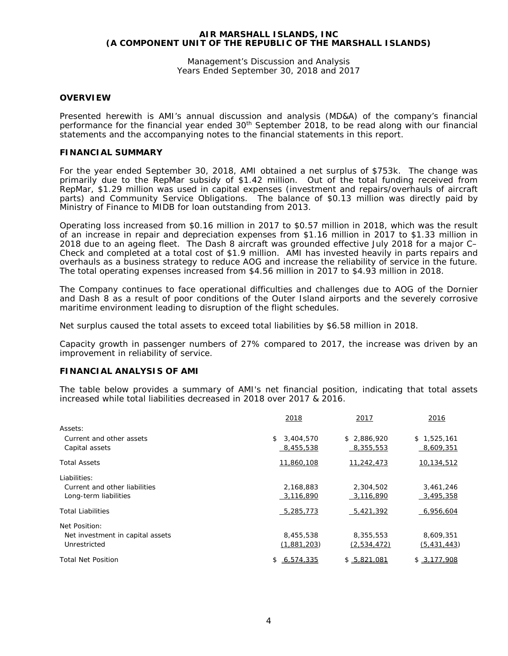Management's Discussion and Analysis Years Ended September 30, 2018 and 2017

#### **OVERVIEW**

Presented herewith is AMI's annual discussion and analysis (MD&A) of the company's financial performance for the financial year ended  $30<sup>th</sup>$  September 2018, to be read along with our financial statements and the accompanying notes to the financial statements in this report.

#### **FINANCIAL SUMMARY**

For the year ended September 30, 2018, AMI obtained a net surplus of \$753k. The change was primarily due to the RepMar subsidy of \$1.42 million. Out of the total funding received from RepMar, \$1.29 million was used in capital expenses (investment and repairs/overhauls of aircraft parts) and Community Service Obligations. The balance of \$0.13 million was directly paid by Ministry of Finance to MIDB for loan outstanding from 2013.

Operating loss increased from \$0.16 million in 2017 to \$0.57 million in 2018, which was the result of an increase in repair and depreciation expenses from \$1.16 million in 2017 to \$1.33 million in 2018 due to an ageing fleet. The Dash 8 aircraft was grounded effective July 2018 for a major C– Check and completed at a total cost of \$1.9 million. AMI has invested heavily in parts repairs and overhauls as a business strategy to reduce AOG and increase the reliability of service in the future. The total operating expenses increased from \$4.56 million in 2017 to \$4.93 million in 2018.

The Company continues to face operational difficulties and challenges due to AOG of the Dornier and Dash 8 as a result of poor conditions of the Outer Island airports and the severely corrosive maritime environment leading to disruption of the flight schedules.

Net surplus caused the total assets to exceed total liabilities by \$6.58 million in 2018.

Capacity growth in passenger numbers of 27% compared to 2017, the increase was driven by an improvement in reliability of service.

# **FINANCIAL ANALYSIS OF AMI**

The table below provides a summary of AMI's net financial position, indicating that total assets increased while total liabilities decreased in 2018 over 2017 & 2016.

|                                  | 2018            | 2017        | 2016        |
|----------------------------------|-----------------|-------------|-------------|
| Assets:                          |                 |             |             |
| Current and other assets         | 3,404,570<br>\$ | \$2,886,920 | \$1,525,161 |
| Capital assets                   | 8,455,538       | 8,355,553   | 8,609,351   |
| <b>Total Assets</b>              | 11,860,108      | 11,242,473  | 10,134,512  |
| Liabilities:                     |                 |             |             |
| Current and other liabilities    | 2,168,883       | 2,304,502   | 3,461,246   |
| Long-term liabilities            | 3,116,890       | 3,116,890   | 3,495,358   |
| <b>Total Liabilities</b>         | 5,285,773       | 5,421,392   | 6,956,604   |
| Net Position:                    |                 |             |             |
| Net investment in capital assets | 8,455,538       | 8,355,553   | 8,609,351   |
| Unrestricted                     | (1,881,203)     | (2,534,472) | (5,431,443) |
| <b>Total Net Position</b>        | \$6,574,335     | \$5.821.081 | \$3,177,908 |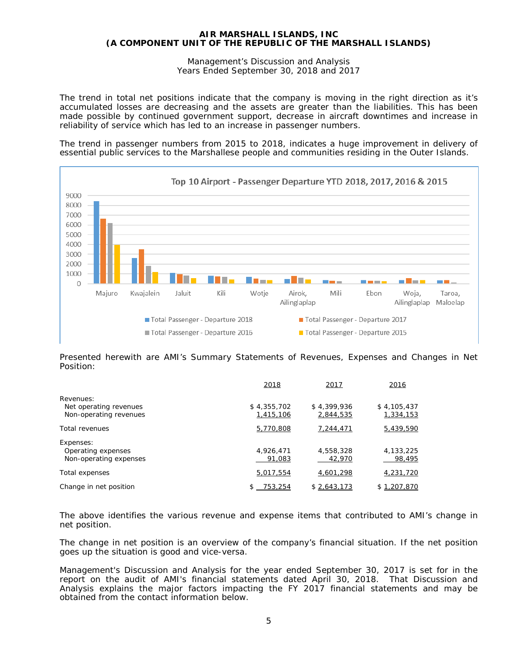Management's Discussion and Analysis Years Ended September 30, 2018 and 2017

The trend in total net positions indicate that the company is moving in the right direction as it's accumulated losses are decreasing and the assets are greater than the liabilities. This has been made possible by continued government support, decrease in aircraft downtimes and increase in reliability of service which has led to an increase in passenger numbers.

The trend in passenger numbers from 2015 to 2018, indicates a huge improvement *in delivery of essential public services to the Marshallese people and communities residing in the Outer Islands*.



Presented herewith are AMI's Summary Statements of Revenues, Expenses and Changes in Net Position:

|                        | 2018        | 2017        | 2016        |
|------------------------|-------------|-------------|-------------|
| Revenues:              |             |             |             |
| Net operating revenues | \$4,355,702 | \$4,399,936 | \$4,105,437 |
| Non-operating revenues | 1,415,106   | 2,844,535   | 1,334,153   |
| Total revenues         | 5,770,808   | 7,244,471   | 5,439,590   |
| Expenses:              |             |             |             |
| Operating expenses     | 4,926,471   | 4,558,328   | 4,133,225   |
| Non-operating expenses | 91,083      | 42,970      | 98,495      |
| Total expenses         | 5,017,554   | 4,601,298   | 4,231,720   |
| Change in net position | 753,254     | \$2,643,173 | \$1,207,870 |

The above identifies the various revenue and expense items that contributed to AMI's change in net position.

The change in net position is an overview of the company's financial situation. If the net position goes up the situation is good and vice-versa.

Management's Discussion and Analysis for the year ended September 30, 2017 is set for in the report on the audit of AMI's financial statements dated April 30, 2018. That Discussion and Analysis explains the major factors impacting the FY 2017 financial statements and may be obtained from the contact information below.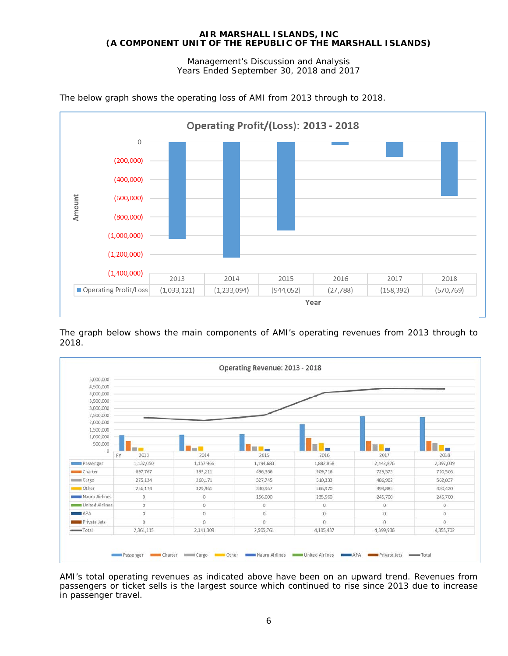Management's Discussion and Analysis Years Ended September 30, 2018 and 2017



The below graph shows the operating loss of AMI from 2013 through to 2018.

The graph below shows the main components of AMI's operating revenues from 2013 through to 2018.



AMI's total operating revenues as indicated above have been on an upward trend. Revenues from passengers or ticket sells is the largest source which continued to rise since 2013 due to increase in passenger travel.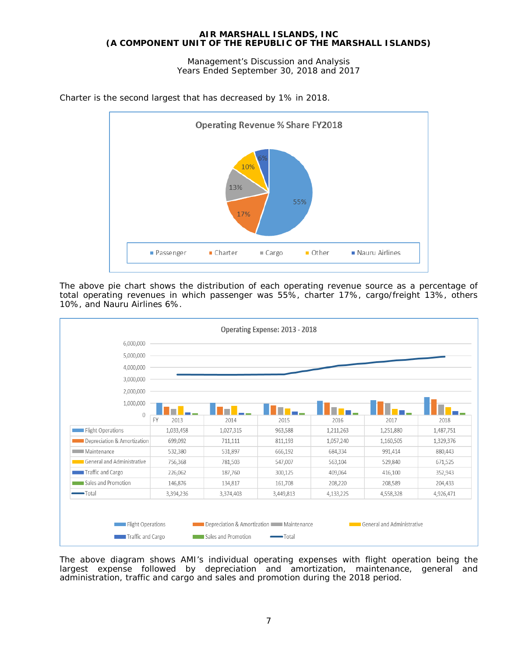Management's Discussion and Analysis Years Ended September 30, 2018 and 2017



Charter is the second largest that has decreased by 1% in 2018.

The above pie chart shows the distribution of each operating revenue source as a percentage of total operating revenues in which passenger was 55%, charter 17%, cargo/freight 13%, others 10%, and Nauru Airlines 6%.



The above diagram shows AMI's individual operating expenses with flight operation being the largest expense followed by depreciation and amortization, maintenance, general and administration, traffic and cargo and sales and promotion during the 2018 period.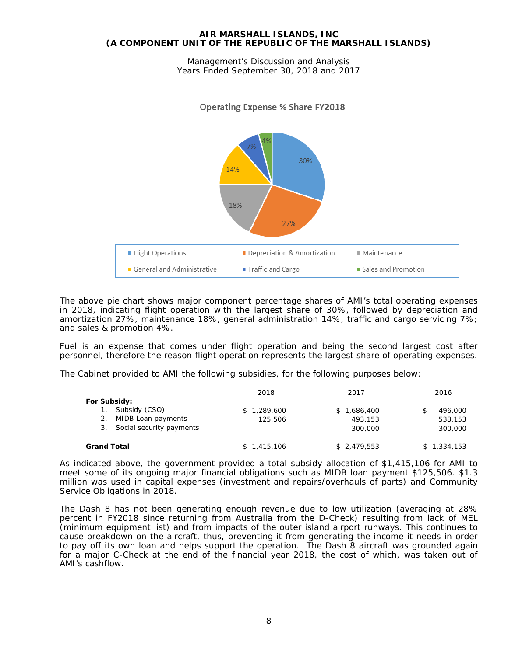Management's Discussion and Analysis Years Ended September 30, 2018 and 2017



The above pie chart shows major component percentage shares of AMI's total operating expenses in 2018, indicating flight operation with the largest share of 30%, followed by depreciation and amortization 27%, maintenance 18%, general administration 14%, traffic and cargo servicing 7%; and sales & promotion 4%.

Fuel is an expense that comes under flight operation and being the second largest cost after personnel, therefore the reason flight operation represents the largest share of operating expenses.

The Cabinet provided to AMI the following subsidies, for the following purposes below:

|                                                                                       | 2018                   | 2017                                  | 2016                          |
|---------------------------------------------------------------------------------------|------------------------|---------------------------------------|-------------------------------|
| For Subsidy:<br>Subsidy (CSO)<br>2. MIDB Loan payments<br>3. Social security payments | \$1,289,600<br>125,506 | 1,686,400<br>S.<br>493,153<br>300,000 | 496,000<br>538,153<br>300,000 |
| <b>Grand Total</b>                                                                    | \$1.415.106            | \$2.479.553                           | \$1.334.153                   |

As indicated above, the government provided a total subsidy allocation of \$1,415,106 for AMI to meet some of its ongoing major financial obligations such as MIDB loan payment \$125,506. \$1.3 million was used in capital expenses (investment and repairs/overhauls of parts) and Community Service Obligations in 2018.

The Dash 8 has not been generating enough revenue due to low utilization (averaging at 28% percent in FY2018 since returning from Australia from the D-Check) resulting from lack of MEL (minimum equipment list) and from impacts of the outer island airport runways. This continues to cause breakdown on the aircraft, thus, preventing it from generating the income it needs in order to pay off its own loan and helps support the operation. The Dash 8 aircraft was grounded again for a major C-Check at the end of the financial year 2018, the cost of which, was taken out of AMI's cashflow.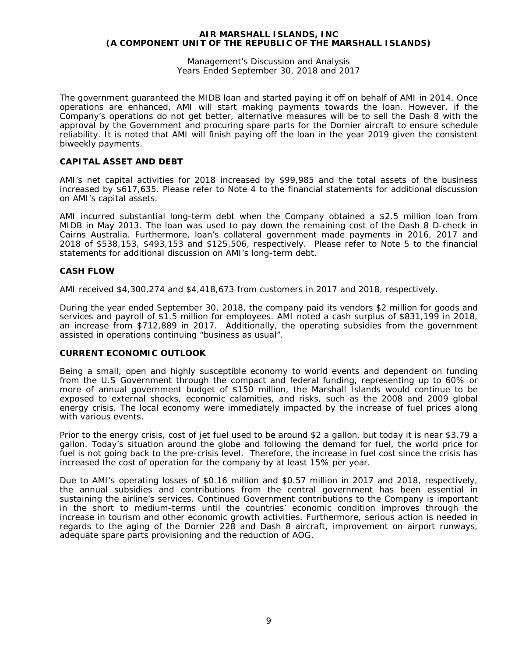Management's Discussion and Analysis Years Ended September 30, 2018 and 2017

The government guaranteed the MIDB loan and started paying it off on behalf of AMI in 2014. Once operations are enhanced, AMI will start making payments towards the loan. However, if the Company's operations do not get better, alternative measures will be to sell the Dash 8 with the approval by the Government and procuring spare parts for the Dornier aircraft to ensure schedule reliability. It is noted that AMI will finish paying off the loan in the year 2019 given the consistent biweekly payments.

# **CAPITAL ASSET AND DEBT**

AMI's net capital activities for 2018 increased by \$99,985 and the total assets of the business increased by \$617,635. Please refer to Note 4 to the financial statements for additional discussion on AMI's capital assets.

AMI incurred substantial long-term debt when the Company obtained a \$2.5 million loan from MIDB in May 2013. The loan was used to pay down the remaining cost of the Dash 8 D-check in Cairns Australia. Furthermore, loan's collateral government made payments in 2016, 2017 and 2018 of \$538,153, \$493,153 and \$125,506, respectively. Please refer to Note 5 to the financial statements for additional discussion on AMI's long-term debt.

# **CASH FLOW**

AMI received \$4,300,274 and \$4,418,673 from customers in 2017 and 2018, respectively.

During the year ended September 30, 2018, the company paid its vendors \$2 million for goods and services and payroll of \$1.5 million for employees. AMI noted a cash surplus of \$831,199 in 2018, an increase from \$712,889 in 2017. Additionally, the operating subsidies from the government assisted in operations continuing "business as usual".

#### **CURRENT ECONOMIC OUTLOOK**

Being a small, open and highly susceptible economy to world events and dependent on funding from the U.S Government through the compact and federal funding, representing up to 60% or more of annual government budget of \$150 million, the Marshall Islands would continue to be exposed to external shocks, economic calamities, and risks, such as the 2008 and 2009 global energy crisis. The local economy were immediately impacted by the increase of fuel prices along with various events.

Prior to the energy crisis, cost of jet fuel used to be around \$2 a gallon, but today it is near \$3.79 a gallon. Today's situation around the globe and following the demand for fuel, the world price for fuel is not going back to the pre-crisis level. Therefore, the increase in fuel cost since the crisis has increased the cost of operation for the company by at least 15% per year.

Due to AMI's operating losses of \$0.16 million and \$0.57 million in 2017 and 2018, respectively, the annual subsidies and contributions from the central government has been essential in sustaining the airline's services. Continued Government contributions to the Company is important in the short to medium-terms until the countries' economic condition improves through the increase in tourism and other economic growth activities. Furthermore, serious action is needed in regards to the aging of the Dornier 228 and Dash 8 aircraft, improvement on airport runways, adequate spare parts provisioning and the reduction of AOG.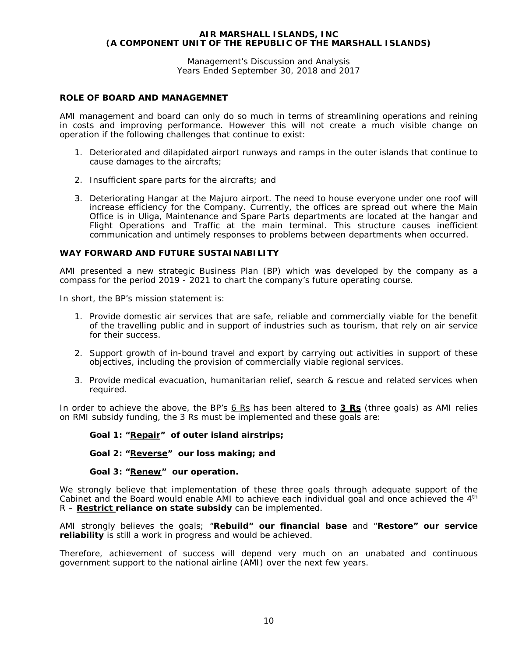Management's Discussion and Analysis Years Ended September 30, 2018 and 2017

# **ROLE OF BOARD AND MANAGEMNET**

AMI management and board can only do so much in terms of streamlining operations and reining in costs and improving performance. However this will not create a much visible change on operation if the following challenges that continue to exist:

- 1. Deteriorated and dilapidated airport runways and ramps in the outer islands that continue to cause damages to the aircrafts;
- 2. Insufficient spare parts for the aircrafts; and
- 3. Deteriorating Hangar at the Majuro airport. The need to house everyone under one roof will increase efficiency for the Company. Currently, the offices are spread out where the Main Office is in Uliga, Maintenance and Spare Parts departments are located at the hangar and Flight Operations and Traffic at the main terminal. This structure causes inefficient communication and untimely responses to problems between departments when occurred.

### **WAY FORWARD AND FUTURE SUSTAINABILITY**

AMI presented a new strategic Business Plan (BP) which was developed by the company as a compass for the period 2019 - 2021 to chart the company's future operating course.

In short, the BP's mission statement is:

- 1. Provide domestic air services that are safe, reliable and commercially viable for the benefit of the travelling public and in support of industries such as tourism, that rely on air service for their success.
- 2. Support growth of in-bound travel and export by carrying out activities in support of these objectives, including the provision of commercially viable regional services.
- 3. Provide medical evacuation, humanitarian relief, search & rescue and related services when required.

In order to achieve the above, the BP's *6 Rs* has been altered to **3 Rs** (three goals) as AMI relies on RMI subsidy funding, the 3 Rs must be implemented and these goals are:

*Goal 1: "Repair" of outer island airstrips;*

*Goal 2: "Reverse" our loss making; and*

#### *Goal 3: "Renew" our operation.*

We strongly believe that implementation of these three goals through adequate support of the Cabinet and the Board would enable AMI to achieve each individual goal and once achieved the 4<sup>th</sup> R – **Restrict reliance on state subsidy** can be implemented.

AMI strongly believes the goals; "**Rebuild" our financial base** and "**Restore" our service reliability** is still a work in progress and would be achieved.

Therefore, achievement of success will depend very much on an unabated and continuous government support to the national airline (AMI) over the next few years.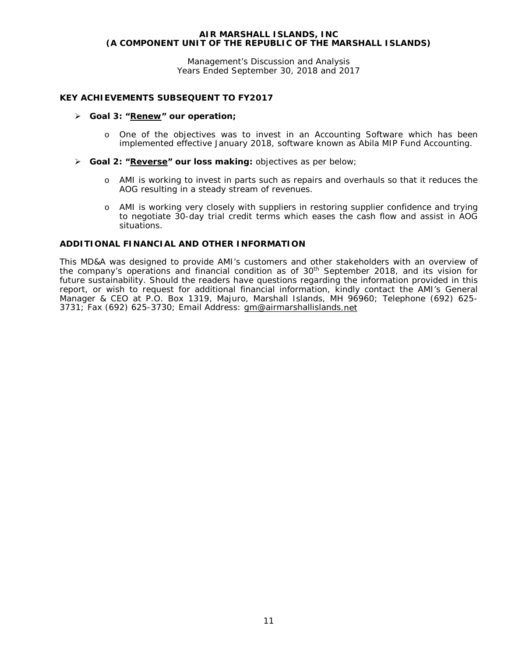Management's Discussion and Analysis Years Ended September 30, 2018 and 2017

# **KEY ACHIEVEMENTS SUBSEQUENT TO FY2017**

#### *Goal 3: "Renew" our operation;*

- o One of the objectives was to invest in an Accounting Software which has been implemented effective January 2018, software known as Abila MIP Fund Accounting.
- **Goal 2: "Reverse" our loss making:** objectives as per below;
	- o AMI is working to invest in parts such as repairs and overhauls so that it reduces the AOG resulting in a steady stream of revenues.
	- o AMI is working very closely with suppliers in restoring supplier confidence and trying to negotiate 30-day trial credit terms which eases the cash flow and assist in AOG situations.

# **ADDITIONAL FINANCIAL AND OTHER INFORMATION**

This MD&A was designed to provide AMI's customers and other stakeholders with an overview of the company's operations and financial condition as of 30<sup>th</sup> September 2018, and its vision for future sustainability. Should the readers have questions regarding the information provided in this report, or wish to request for additional financial information, kindly contact the AMI's General Manager & CEO at P.O. Box 1319, Majuro, Marshall Islands, MH 96960; Telephone (692) 625- 3731; Fax (692) 625-3730; Email Address: [gm@airmarshallislands.](mailto:gm@airmarshallislands)net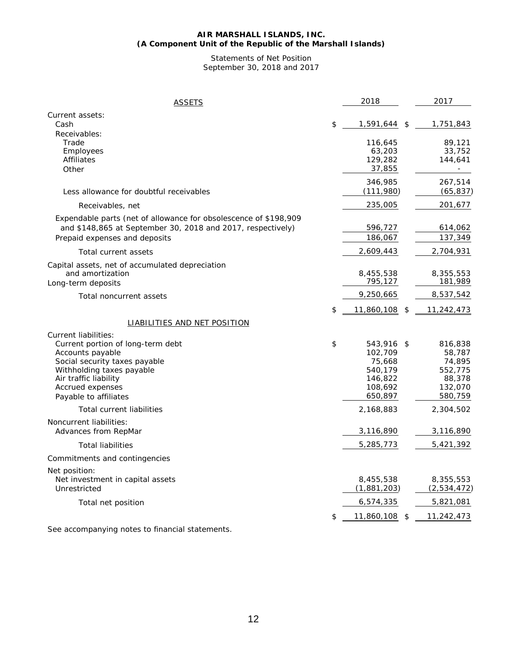#### **AIR MARSHALL ISLANDS, INC. (A Component Unit of the Republic of the Marshall Islands)**

Statements of Net Position September 30, 2018 and 2017

| <b>ASSETS</b>                                                                                                                                                                                                     | 2018                                                                           | 2017                                                                         |
|-------------------------------------------------------------------------------------------------------------------------------------------------------------------------------------------------------------------|--------------------------------------------------------------------------------|------------------------------------------------------------------------------|
| Current assets:<br>Cash                                                                                                                                                                                           | \$<br>1,591,644                                                                | \$<br>1,751,843                                                              |
| Receivables:<br>Trade<br>Employees<br>Affiliates<br>Other                                                                                                                                                         | 116,645<br>63,203<br>129,282<br>37,855                                         | 89,121<br>33,752<br>144,641                                                  |
| Less allowance for doubtful receivables                                                                                                                                                                           | 346,985<br>(111,980)                                                           | 267,514<br>(65, 837)                                                         |
| Receivables, net                                                                                                                                                                                                  | 235,005                                                                        | 201,677                                                                      |
| Expendable parts (net of allowance for obsolescence of \$198,909<br>and \$148,865 at September 30, 2018 and 2017, respectively)<br>Prepaid expenses and deposits                                                  | 596,727<br>186,067                                                             | 614,062<br>137,349                                                           |
| Total current assets                                                                                                                                                                                              | 2,609,443                                                                      | 2,704,931                                                                    |
| Capital assets, net of accumulated depreciation<br>and amortization<br>Long-term deposits                                                                                                                         | 8,455,538<br>795,127                                                           | 8,355,553<br>181,989                                                         |
| Total noncurrent assets                                                                                                                                                                                           | 9,250,665                                                                      | 8,537,542                                                                    |
|                                                                                                                                                                                                                   | \$<br>11,860,108                                                               | \$<br>11,242,473                                                             |
| <b>LIABILITIES AND NET POSITION</b>                                                                                                                                                                               |                                                                                |                                                                              |
| Current liabilities:<br>Current portion of long-term debt<br>Accounts payable<br>Social security taxes payable<br>Withholding taxes payable<br>Air traffic liability<br>Accrued expenses<br>Payable to affiliates | \$<br>543,916<br>102,709<br>75,668<br>540,179<br>146,822<br>108,692<br>650,897 | \$<br>816,838<br>58,787<br>74,895<br>552,775<br>88,378<br>132,070<br>580,759 |
| Total current liabilities                                                                                                                                                                                         | 2,168,883                                                                      | 2,304,502                                                                    |
| Noncurrent liabilities:<br>Advances from RepMar                                                                                                                                                                   | 3,116,890                                                                      | 3,116,890                                                                    |
| <b>Total liabilities</b>                                                                                                                                                                                          | 5,285,773                                                                      | 5,421,392                                                                    |
| Commitments and contingencies                                                                                                                                                                                     |                                                                                |                                                                              |
| Net position:<br>Net investment in capital assets<br>Unrestricted                                                                                                                                                 | 8,455,538<br>(1,881,203)                                                       | 8,355,553<br>(2,534,472)                                                     |
| Total net position                                                                                                                                                                                                | 6,574,335                                                                      | 5,821,081                                                                    |
|                                                                                                                                                                                                                   | \$<br>11,860,108                                                               | \$<br>11,242,473                                                             |

See accompanying notes to financial statements.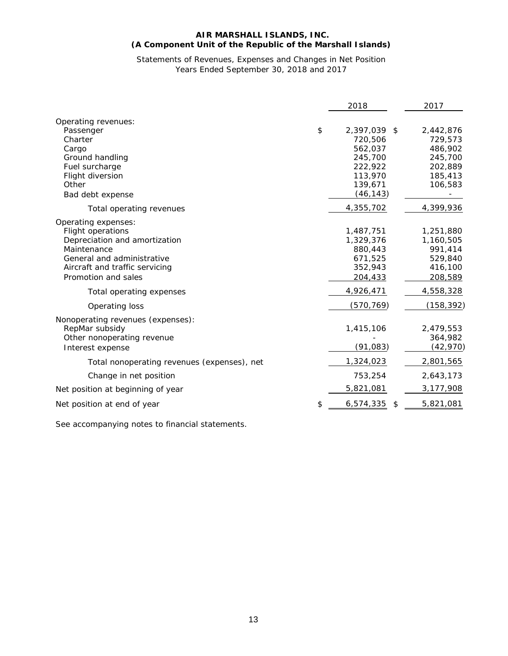# **AIR MARSHALL ISLANDS, INC. (A Component Unit of the Republic of the Marshall Islands)**

# Statements of Revenues, Expenses and Changes in Net Position Years Ended September 30, 2018 and 2017

|                                                                                                                                                                                        | 2018                                                                                              | 2017                                                                        |
|----------------------------------------------------------------------------------------------------------------------------------------------------------------------------------------|---------------------------------------------------------------------------------------------------|-----------------------------------------------------------------------------|
| Operating revenues:<br>Passenger<br>Charter<br>Cargo<br>Ground handling<br>Fuel surcharge<br>Flight diversion<br>Other<br>Bad debt expense                                             | \$<br>2,397,039 \$<br>720,506<br>562,037<br>245,700<br>222,922<br>113,970<br>139,671<br>(46, 143) | 2,442,876<br>729,573<br>486,902<br>245,700<br>202,889<br>185,413<br>106,583 |
| Total operating revenues                                                                                                                                                               | 4,355,702                                                                                         | 4,399,936                                                                   |
| Operating expenses:<br><b>Flight operations</b><br>Depreciation and amortization<br>Maintenance<br>General and administrative<br>Aircraft and traffic servicing<br>Promotion and sales | 1,487,751<br>1,329,376<br>880,443<br>671,525<br>352,943<br>204,433                                | 1,251,880<br>1,160,505<br>991,414<br>529,840<br>416,100<br>208,589          |
| Total operating expenses                                                                                                                                                               | 4,926,471<br>(570, 769)                                                                           | 4,558,328                                                                   |
| Operating loss<br>Nonoperating revenues (expenses):<br>RepMar subsidy<br>Other nonoperating revenue<br>Interest expense                                                                | 1,415,106<br>(91, 083)                                                                            | (158, 392)<br>2,479,553<br>364,982<br>(42, 970)                             |
| Total nonoperating revenues (expenses), net                                                                                                                                            | 1,324,023                                                                                         | 2,801,565                                                                   |
| Change in net position                                                                                                                                                                 | 753,254                                                                                           | 2,643,173                                                                   |
| Net position at beginning of year                                                                                                                                                      | 5,821,081                                                                                         | 3,177,908                                                                   |
| Net position at end of year                                                                                                                                                            | \$<br>6,574,335<br>\$                                                                             | 5,821,081                                                                   |

See accompanying notes to financial statements.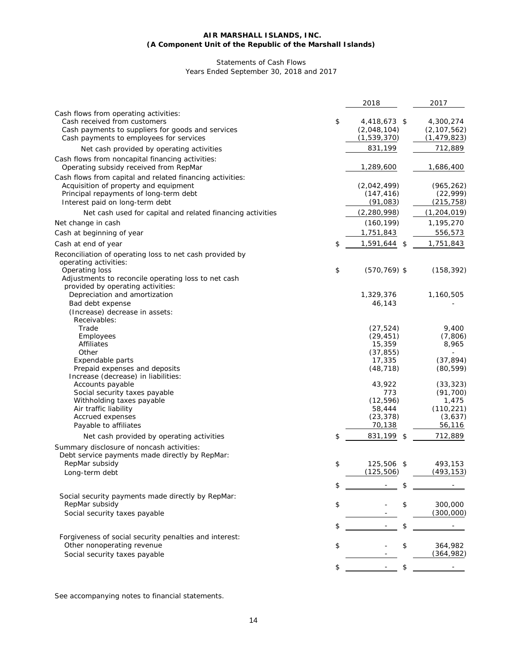#### **AIR MARSHALL ISLANDS, INC. (A Component Unit of the Republic of the Marshall Islands)**

# Statements of Cash Flows Years Ended September 30, 2018 and 2017

|                                                                                                                                                                                 | 2018                                             | 2017                                        |
|---------------------------------------------------------------------------------------------------------------------------------------------------------------------------------|--------------------------------------------------|---------------------------------------------|
| Cash flows from operating activities:<br>Cash received from customers<br>Cash payments to suppliers for goods and services<br>Cash payments to employees for services           | \$<br>4,418,673 \$<br>(2,048,104)<br>(1,539,370) | 4,300,274<br>(2, 107, 562)<br>(1, 479, 823) |
| Net cash provided by operating activities                                                                                                                                       | 831,199                                          | 712,889                                     |
| Cash flows from noncapital financing activities:<br>Operating subsidy received from RepMar                                                                                      | 1,289,600                                        | 1,686,400                                   |
| Cash flows from capital and related financing activities:<br>Acquisition of property and equipment<br>Principal repayments of long-term debt<br>Interest paid on long-term debt | (2,042,499)<br>(147, 416)<br>(91, 083)           | (965, 262)<br>(22, 999)<br>(215, 758)       |
| Net cash used for capital and related financing activities                                                                                                                      | (2, 280, 998)                                    | (1, 204, 019)                               |
| Net change in cash                                                                                                                                                              | (160, 199)                                       | 1,195,270                                   |
| Cash at beginning of year                                                                                                                                                       | 1,751,843                                        | 556,573                                     |
| Cash at end of year                                                                                                                                                             | \$<br>1,591,644<br>-\$                           | 1,751,843                                   |
| Reconciliation of operating loss to net cash provided by<br>operating activities:                                                                                               |                                                  |                                             |
| Operating loss<br>Adjustments to reconcile operating loss to net cash<br>provided by operating activities:                                                                      | \$<br>$(570, 769)$ \$                            | (158, 392)                                  |
| Depreciation and amortization                                                                                                                                                   | 1,329,376                                        | 1,160,505                                   |
| Bad debt expense<br>(Increase) decrease in assets:<br>Receivables:                                                                                                              | 46,143                                           |                                             |
| Trade                                                                                                                                                                           | (27, 524)                                        | 9,400                                       |
| Employees                                                                                                                                                                       | (29, 451)                                        | (7,806)                                     |
| Affiliates                                                                                                                                                                      | 15,359                                           | 8,965                                       |
| Other<br>Expendable parts                                                                                                                                                       | (37, 855)<br>17,335                              | (37, 894)                                   |
| Prepaid expenses and deposits<br>Increase (decrease) in liabilities:                                                                                                            | (48, 718)                                        | (80, 599)                                   |
| Accounts payable                                                                                                                                                                | 43,922                                           | (33, 323)                                   |
| Social security taxes payable                                                                                                                                                   | 773                                              | (91, 700)                                   |
| Withholding taxes payable                                                                                                                                                       | (12, 596)                                        | 1,475                                       |
| Air traffic liability<br>Accrued expenses                                                                                                                                       | 58,444<br>(23, 378)                              | (110, 221)<br>(3,637)                       |
| Payable to affiliates                                                                                                                                                           | 70,138                                           | 56,116                                      |
| Net cash provided by operating activities                                                                                                                                       | \$<br>831,199<br>\$                              | 712,889                                     |
| Summary disclosure of noncash activities:<br>Debt service payments made directly by RepMar:                                                                                     |                                                  |                                             |
| RepMar subsidy                                                                                                                                                                  | \$<br>125,506 \$                                 | 493,153                                     |
| Long-term debt                                                                                                                                                                  | (125,506)                                        | (493, 153)                                  |
|                                                                                                                                                                                 | \$<br>\$                                         |                                             |
| Social security payments made directly by RepMar:                                                                                                                               |                                                  |                                             |
| RepMar subsidy<br>Social security taxes payable                                                                                                                                 | \$<br>\$                                         | 300,000<br>(300,000)                        |
|                                                                                                                                                                                 |                                                  |                                             |
|                                                                                                                                                                                 | \$<br>\$                                         |                                             |
| Forgiveness of social security penalties and interest:                                                                                                                          |                                                  |                                             |
| Other nonoperating revenue                                                                                                                                                      | \$<br>\$                                         | 364,982                                     |
| Social security taxes payable                                                                                                                                                   |                                                  | (364, 982)                                  |
|                                                                                                                                                                                 | \$<br>\$                                         |                                             |

See accompanying notes to financial statements.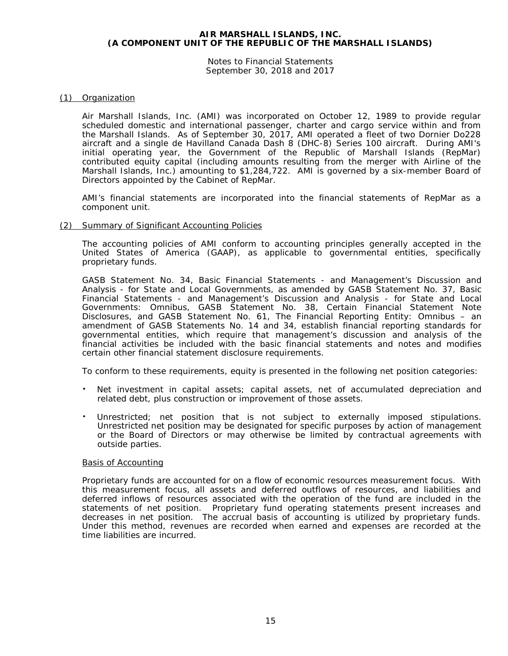Notes to Financial Statements September 30, 2018 and 2017

# (1) Organization

Air Marshall Islands, Inc. (AMI) was incorporated on October 12, 1989 to provide regular scheduled domestic and international passenger, charter and cargo service within and from the Marshall Islands. As of September 30, 2017, AMI operated a fleet of two Dornier Do228 aircraft and a single de Havilland Canada Dash 8 (DHC-8) Series 100 aircraft. During AMI's initial operating year, the Government of the Republic of Marshall Islands (RepMar) contributed equity capital (including amounts resulting from the merger with Airline of the Marshall Islands, Inc.) amounting to \$1,284,722. AMI is governed by a six-member Board of Directors appointed by the Cabinet of RepMar.

AMI's financial statements are incorporated into the financial statements of RepMar as a component unit.

#### (2) Summary of Significant Accounting Policies

The accounting policies of AMI conform to accounting principles generally accepted in the United States of America (GAAP), as applicable to governmental entities, specifically proprietary funds.

GASB Statement No. 34, *Basic Financial Statements - and Management's Discussion and Analysis - for State and Local Governments*, as amended by GASB Statement No. 37, *Basic Financial Statements - and Management's Discussion and Analysis - for State and Local Governments: Omnibus*, GASB Statement No. 38, *Certain Financial Statement Note Disclosures*, and GASB Statement No. 61, *The Financial Reporting Entity: Omnibus – an amendment of GASB Statements No. 14 and 34*, establish financial reporting standards for governmental entities, which require that management's discussion and analysis of the financial activities be included with the basic financial statements and notes and modifies certain other financial statement disclosure requirements.

To conform to these requirements, equity is presented in the following net position categories:

- Net investment in capital assets; capital assets, net of accumulated depreciation and related debt, plus construction or improvement of those assets.
- Unrestricted; net position that is not subject to externally imposed stipulations. Unrestricted net position may be designated for specific purposes by action of management or the Board of Directors or may otherwise be limited by contractual agreements with outside parties.

#### Basis of Accounting

Proprietary funds are accounted for on a flow of economic resources measurement focus. With this measurement focus, all assets and deferred outflows of resources, and liabilities and deferred inflows of resources associated with the operation of the fund are included in the statements of net position. Proprietary fund operating statements present increases and decreases in net position. The accrual basis of accounting is utilized by proprietary funds. Under this method, revenues are recorded when earned and expenses are recorded at the time liabilities are incurred.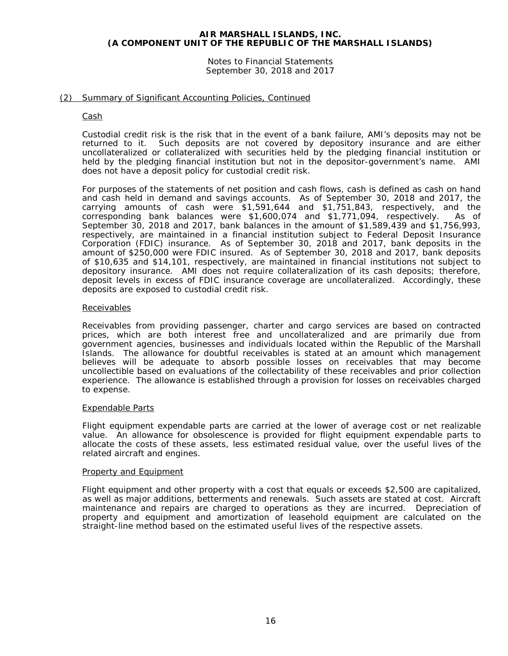Notes to Financial Statements September 30, 2018 and 2017

# (2) Summary of Significant Accounting Policies, Continued

#### Cash

Custodial credit risk is the risk that in the event of a bank failure, AMI's deposits may not be returned to it. Such deposits are not covered by depository insurance and are either uncollateralized or collateralized with securities held by the pledging financial institution or held by the pledging financial institution but not in the depositor-government's name. AMI does not have a deposit policy for custodial credit risk.

For purposes of the statements of net position and cash flows, cash is defined as cash on hand and cash held in demand and savings accounts. As of September 30, 2018 and 2017, the carrying amounts of cash were \$1,591,644 and \$1,751,843, respectively, and the corresponding bank balances were \$1,600,074 and \$1,771,094, respectively. As of September 30, 2018 and 2017, bank balances in the amount of \$1,589,439 and \$1,756,993, respectively, are maintained in a financial institution subject to Federal Deposit Insurance Corporation (FDIC) insurance. As of September 30, 2018 and 2017, bank deposits in the amount of \$250,000 were FDIC insured. As of September 30, 2018 and 2017, bank deposits of \$10,635 and \$14,101, respectively, are maintained in financial institutions not subject to depository insurance. AMI does not require collateralization of its cash deposits; therefore, deposit levels in excess of FDIC insurance coverage are uncollateralized. Accordingly, these deposits are exposed to custodial credit risk.

#### Receivables

Receivables from providing passenger, charter and cargo services are based on contracted prices, which are both interest free and uncollateralized and are primarily due from government agencies, businesses and individuals located within the Republic of the Marshall Islands. The allowance for doubtful receivables is stated at an amount which management believes will be adequate to absorb possible losses on receivables that may become uncollectible based on evaluations of the collectability of these receivables and prior collection experience. The allowance is established through a provision for losses on receivables charged to expense.

#### Expendable Parts

Flight equipment expendable parts are carried at the lower of average cost or net realizable value. An allowance for obsolescence is provided for flight equipment expendable parts to allocate the costs of these assets, less estimated residual value, over the useful lives of the related aircraft and engines.

#### Property and Equipment

Flight equipment and other property with a cost that equals or exceeds \$2,500 are capitalized, as well as major additions, betterments and renewals. Such assets are stated at cost. Aircraft maintenance and repairs are charged to operations as they are incurred. Depreciation of property and equipment and amortization of leasehold equipment are calculated on the straight-line method based on the estimated useful lives of the respective assets.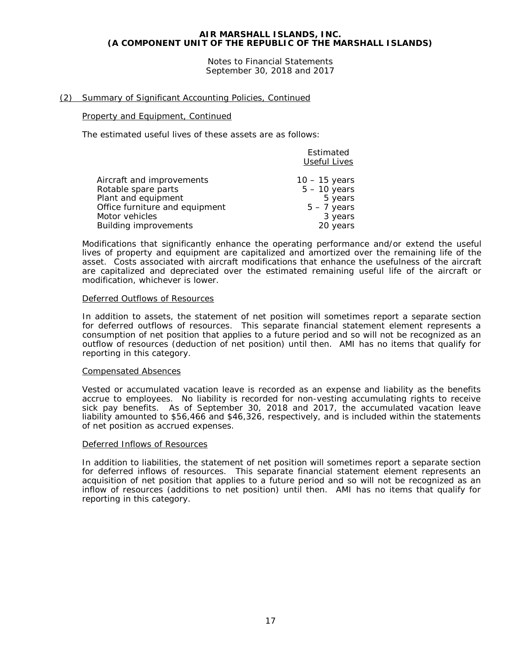Notes to Financial Statements September 30, 2018 and 2017

# (2) Summary of Significant Accounting Policies, Continued

#### Property and Equipment, Continued

The estimated useful lives of these assets are as follows:

|                                | Estimated<br><b>Useful Lives</b> |
|--------------------------------|----------------------------------|
| Aircraft and improvements      | $10 - 15$ years                  |
| Rotable spare parts            | $5 - 10$ years                   |
| Plant and equipment            | 5 years                          |
| Office furniture and equipment | $5 - 7$ years                    |
| Motor vehicles                 | 3 years                          |
| <b>Building improvements</b>   | 20 years                         |

Modifications that significantly enhance the operating performance and/or extend the useful lives of property and equipment are capitalized and amortized over the remaining life of the asset. Costs associated with aircraft modifications that enhance the usefulness of the aircraft are capitalized and depreciated over the estimated remaining useful life of the aircraft or modification, whichever is lower.

#### Deferred Outflows of Resources

In addition to assets, the statement of net position will sometimes report a separate section for deferred outflows of resources. This separate financial statement element represents a consumption of net position that applies to a future period and so will not be recognized as an outflow of resources (deduction of net position) until then. AMI has no items that qualify for reporting in this category.

#### Compensated Absences

Vested or accumulated vacation leave is recorded as an expense and liability as the benefits accrue to employees. No liability is recorded for non-vesting accumulating rights to receive sick pay benefits. As of September 30, 2018 and 2017, the accumulated vacation leave liability amounted to \$56,466 and \$46,326, respectively, and is included within the statements of net position as accrued expenses.

#### Deferred Inflows of Resources

In addition to liabilities, the statement of net position will sometimes report a separate section for deferred inflows of resources. This separate financial statement element represents an acquisition of net position that applies to a future period and so will not be recognized as an inflow of resources (additions to net position) until then. AMI has no items that qualify for reporting in this category.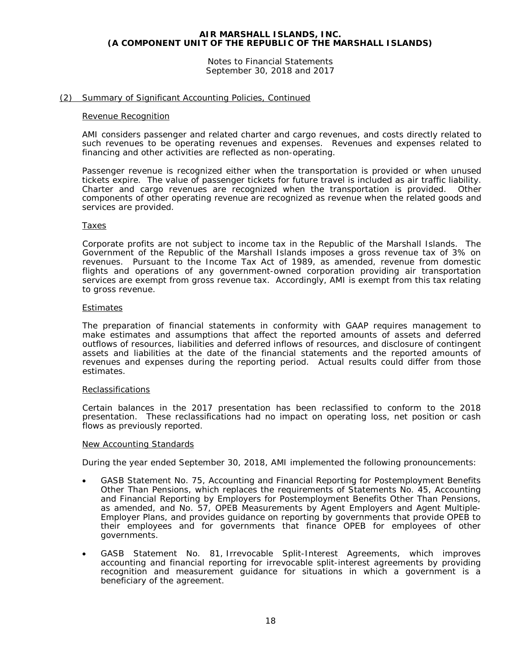Notes to Financial Statements September 30, 2018 and 2017

# (2) Summary of Significant Accounting Policies, Continued

#### Revenue Recognition

AMI considers passenger and related charter and cargo revenues, and costs directly related to such revenues to be operating revenues and expenses. Revenues and expenses related to financing and other activities are reflected as non-operating.

Passenger revenue is recognized either when the transportation is provided or when unused tickets expire. The value of passenger tickets for future travel is included as air traffic liability. Charter and cargo revenues are recognized when the transportation is provided. Other components of other operating revenue are recognized as revenue when the related goods and services are provided.

#### Taxes

Corporate profits are not subject to income tax in the Republic of the Marshall Islands. The Government of the Republic of the Marshall Islands imposes a gross revenue tax of 3% on revenues. Pursuant to the Income Tax Act of 1989, as amended, revenue from domestic flights and operations of any government-owned corporation providing air transportation services are exempt from gross revenue tax. Accordingly, AMI is exempt from this tax relating to gross revenue.

#### Estimates

The preparation of financial statements in conformity with GAAP requires management to make estimates and assumptions that affect the reported amounts of assets and deferred outflows of resources, liabilities and deferred inflows of resources, and disclosure of contingent assets and liabilities at the date of the financial statements and the reported amounts of revenues and expenses during the reporting period. Actual results could differ from those estimates.

#### Reclassifications

Certain balances in the 2017 presentation has been reclassified to conform to the 2018 presentation. These reclassifications had no impact on operating loss, net position or cash flows as previously reported.

#### New Accounting Standards

During the year ended September 30, 2018, AMI implemented the following pronouncements:

- GASB Statement No. 75, *Accounting and Financial Reporting for Postemployment Benefits Other Than Pensions*, which replaces the requirements of Statements No. 45, *Accounting and Financial Reporting by Employers for Postemployment Benefits Other Than Pensions*, as amended, and No. 57, *OPEB Measurements by Agent Employers and Agent Multiple-Employer Plans*, and provides guidance on reporting by governments that provide OPEB to their employees and for governments that finance OPEB for employees of other governments.
- GASB Statement No. 81, *Irrevocable Split-Interest Agreements,* which improves accounting and financial reporting for irrevocable split-interest agreements by providing recognition and measurement guidance for situations in which a government is a beneficiary of the agreement.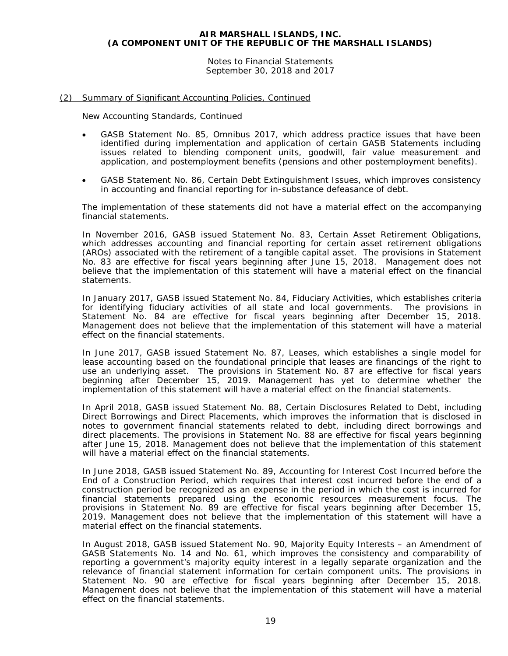Notes to Financial Statements September 30, 2018 and 2017

# (2) Summary of Significant Accounting Policies, Continued

New Accounting Standards, Continued

- GASB Statement No. 85, *Omnibus 2017*, which address practice issues that have been identified during implementation and application of certain GASB Statements including issues related to blending component units, goodwill, fair value measurement and application, and postemployment benefits (pensions and other postemployment benefits).
- GASB Statement No. 86, *Certain Debt Extinguishment Issues*, which improves consistency in accounting and financial reporting for in-substance defeasance of debt.

The implementation of these statements did not have a material effect on the accompanying financial statements.

In November 2016, GASB issued Statement No. 83, *Certain Asset Retirement Obligations*, which addresses accounting and financial reporting for certain asset retirement obligations (AROs) associated with the retirement of a tangible capital asset. The provisions in Statement No. 83 are effective for fiscal years beginning after June 15, 2018. Management does not believe that the implementation of this statement will have a material effect on the financial statements.

In January 2017, GASB issued Statement No. 84, *Fiduciary Activities*, which establishes criteria for identifying fiduciary activities of all state and local governments. The provisions in Statement No. 84 are effective for fiscal years beginning after December 15, 2018. Management does not believe that the implementation of this statement will have a material effect on the financial statements.

In June 2017, GASB issued Statement No. 87, *Leases*, which establishes a single model for lease accounting based on the foundational principle that leases are financings of the right to use an underlying asset. The provisions in Statement No. 87 are effective for fiscal years beginning after December 15, 2019. Management has yet to determine whether the implementation of this statement will have a material effect on the financial statements.

In April 2018, GASB issued Statement No. 88, *Certain Disclosures Related to Debt, including Direct Borrowings and Direct Placements*, which improves the information that is disclosed in notes to government financial statements related to debt, including direct borrowings and direct placements. The provisions in Statement No. 88 are effective for fiscal years beginning after June 15, 2018. Management does not believe that the implementation of this statement will have a material effect on the financial statements.

In June 2018, GASB issued Statement No. 89, *Accounting for Interest Cost Incurred before the End of a Construction Period*, which requires that interest cost incurred before the end of a construction period be recognized as an expense in the period in which the cost is incurred for financial statements prepared using the economic resources measurement focus. The provisions in Statement No. 89 are effective for fiscal years beginning after December 15, 2019. Management does not believe that the implementation of this statement will have a material effect on the financial statements.

In August 2018, GASB issued Statement No. 90, *Majority Equity Interests – an Amendment of GASB Statements No. 14 and No. 61,* which improves the consistency and comparability of reporting a government's majority equity interest in a legally separate organization and the relevance of financial statement information for certain component units. The provisions in Statement No. 90 are effective for fiscal years beginning after December 15, 2018. Management does not believe that the implementation of this statement will have a material effect on the financial statements.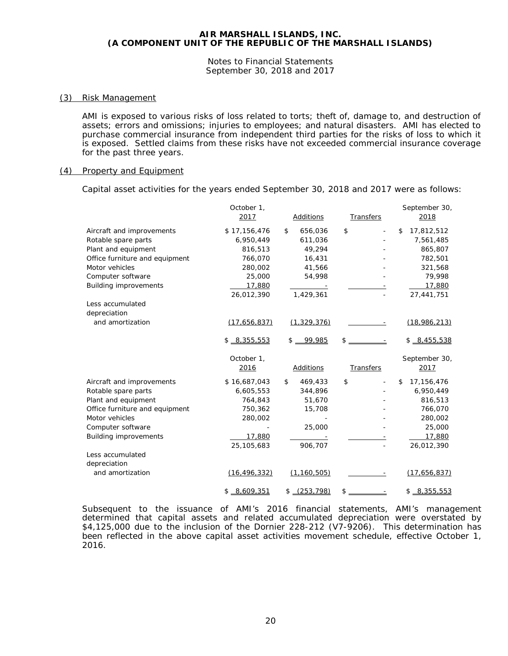Notes to Financial Statements September 30, 2018 and 2017

#### (3) Risk Management

AMI is exposed to various risks of loss related to torts; theft of, damage to, and destruction of assets; errors and omissions; injuries to employees; and natural disasters. AMI has elected to purchase commercial insurance from independent third parties for the risks of loss to which it is exposed. Settled claims from these risks have not exceeded commercial insurance coverage for the past three years.

#### (4) Property and Equipment

Capital asset activities for the years ended September 30, 2018 and 2017 were as follows:

|                                | October 1,     |                  |                  | September 30,    |
|--------------------------------|----------------|------------------|------------------|------------------|
|                                | 2017           | Additions        | Transfers        | 2018             |
| Aircraft and improvements      | \$17,156,476   | \$<br>656,036    | \$               | \$<br>17,812,512 |
| Rotable spare parts            | 6,950,449      | 611,036          |                  | 7,561,485        |
| Plant and equipment            | 816,513        | 49,294           |                  | 865,807          |
| Office furniture and equipment | 766,070        | 16,431           |                  | 782,501          |
| Motor vehicles                 | 280,002        | 41,566           |                  | 321,568          |
| Computer software              | 25,000         | 54,998           |                  | 79,998           |
| <b>Building improvements</b>   | 17,880         |                  |                  | 17,880           |
|                                | 26,012,390     | 1,429,361        |                  | 27,441,751       |
| Less accumulated               |                |                  |                  |                  |
| depreciation                   |                |                  |                  |                  |
| and amortization               | (17,656,837)   | (1, 329, 376)    |                  | (18,986,213)     |
|                                | $$ -8,355,553$ | 99.985<br>\$     | \$               | $$ -8,455,538$   |
|                                | October 1,     |                  |                  | September 30,    |
|                                | 2016           | <b>Additions</b> | <b>Transfers</b> | 2017             |
| Aircraft and improvements      | \$16,687,043   | \$<br>469,433    | \$               | 17,156,476<br>\$ |
| Rotable spare parts            | 6,605,553      | 344,896          |                  | 6,950,449        |
| Plant and equipment            | 764,843        | 51,670           |                  | 816,513          |
| Office furniture and equipment | 750,362        | 15,708           |                  | 766,070          |
| Motor vehicles                 | 280,002        |                  |                  | 280,002          |
| Computer software              |                | 25,000           |                  | 25,000           |
| <b>Building improvements</b>   | 17,880         |                  |                  | 17,880           |
|                                | 25,105,683     | 906,707          |                  | 26,012,390       |
| Less accumulated               |                |                  |                  |                  |
| depreciation                   |                |                  |                  |                  |
| and amortization               | (16, 496, 332) | (1, 160, 505)    |                  | (17,656,837)     |
|                                | $$ -8,609,351$ | (253, 798)<br>\$ | \$               | $$ -8.355.553$   |

Subsequent to the issuance of AMI's 2016 financial statements, AMI's management determined that capital assets and related accumulated depreciation were overstated by \$4,125,000 due to the inclusion of the Dornier 228-212 (V7-9206). This determination has been reflected in the above capital asset activities movement schedule, effective October 1, 2016.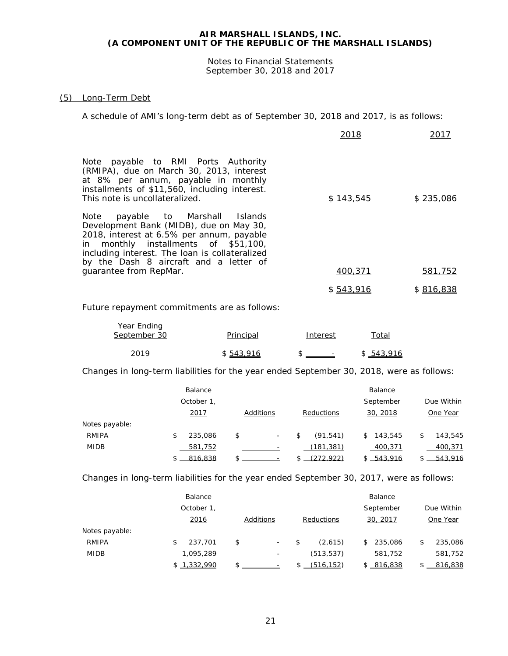Notes to Financial Statements September 30, 2018 and 2017

# (5) Long-Term Debt

A schedule of AMI's long-term debt as of September 30, 2018 and 2017, is as follows:

|                                                                                                                                                                                                                                                                                           | 2018      | 2017      |
|-------------------------------------------------------------------------------------------------------------------------------------------------------------------------------------------------------------------------------------------------------------------------------------------|-----------|-----------|
| Note payable to RMI Ports Authority<br>(RMIPA), due on March 30, 2013, interest<br>at 8% per annum, payable in monthly<br>installments of \$11,560, including interest.<br>This note is uncollateralized.                                                                                 | \$143,545 | \$235,086 |
| payable to Marshall Islands<br>Note<br>Development Bank (MIDB), due on May 30,<br>2018, interest at 6.5% per annum, payable<br>in monthly installments of \$51,100,<br>including interest. The loan is collateralized<br>by the Dash 8 aircraft and a letter of<br>quarantee from RepMar. | 400,371   | 581,752   |
|                                                                                                                                                                                                                                                                                           |           |           |
|                                                                                                                                                                                                                                                                                           | \$543,916 | \$816,838 |

Future repayment commitments are as follows:

| Year Ending<br>September 30 | Principal | Interest                 | Total   |
|-----------------------------|-----------|--------------------------|---------|
| 2019                        | \$543,916 | $\overline{\phantom{a}}$ | 543,916 |

Changes in long-term liabilities for the year ended September 30, 2018, were as follows:

|                | Balance       |                                |                 | Balance       |               |
|----------------|---------------|--------------------------------|-----------------|---------------|---------------|
|                | October 1,    |                                |                 | September     | Due Within    |
|                | <u>2017</u>   | Additions                      | Reductions      | 30, 2018      | One Year      |
| Notes payable: |               |                                |                 |               |               |
| <b>RMIPA</b>   | \$<br>235,086 | \$<br>$\overline{\phantom{a}}$ | \$<br>(91, 541) | \$<br>143,545 | \$<br>143.545 |
| <b>MIDB</b>    | 581,752       |                                | (181, 381)      | 400,371       | 400,371       |
|                | 816,838       | \$                             | (272.922)       | \$ 543.916    | 543.916       |

Changes in long-term liabilities for the year ended September 30, 2017, were as follows:

|                | Balance     |                                |               | Balance       |    |            |
|----------------|-------------|--------------------------------|---------------|---------------|----|------------|
|                | October 1,  |                                |               | September     |    | Due Within |
|                | 2016        | Additions                      | Reductions    | 30, 2017      |    | One Year   |
| Notes payable: |             |                                |               |               |    |            |
| <b>RMIPA</b>   | 237,701     | \$<br>$\overline{\phantom{a}}$ | \$<br>(2.615) | 235,086<br>\$ | \$ | 235,086    |
| <b>MIDB</b>    | 1,095,289   |                                | (513, 537)    | 581,752       |    | 581,752    |
|                | \$1,332,990 | \$                             | (516, 152)    | \$ 816.838    |    | 816.838    |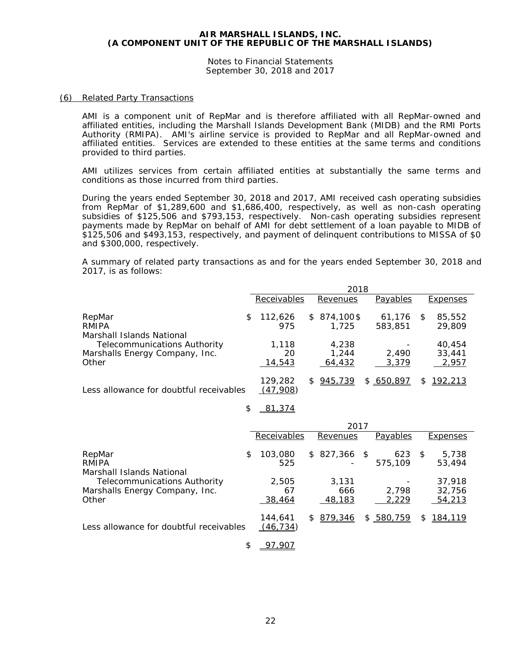Notes to Financial Statements September 30, 2018 and 2017

#### (6) Related Party Transactions

AMI is a component unit of RepMar and is therefore affiliated with all RepMar-owned and affiliated entities, including the Marshall Islands Development Bank (MIDB) and the RMI Ports Authority (RMIPA). AMI's airline service is provided to RepMar and all RepMar-owned and affiliated entities. Services are extended to these entities at the same terms and conditions provided to third parties.

AMI utilizes services from certain affiliated entities at substantially the same terms and conditions as those incurred from third parties.

During the years ended September 30, 2018 and 2017, AMI received cash operating subsidies from RepMar of \$1,289,600 and \$1,686,400, respectively, as well as non-cash operating subsidies of \$125,506 and \$793,153, respectively. Non-cash operating subsidies represent payments made by RepMar on behalf of AMI for debt settlement of a loan payable to MIDB of \$125,506 and \$493,153, respectively, and payment of delinquent contributions to MISSA of \$0 and \$300,000, respectively.

A summary of related party transactions as and for the years ended September 30, 2018 and 2017, is as follows:

|                                         | 2018 |                     |    |             |  |           |   |                 |
|-----------------------------------------|------|---------------------|----|-------------|--|-----------|---|-----------------|
|                                         |      | Receivables         |    | Revenues    |  | Payables  |   | Expenses        |
| RepMar                                  | \$   | 112,626             |    | $$874.100\$ |  | 61,176    | S | 85,552          |
| RMIPA                                   |      | 975                 |    | 1.725       |  | 583,851   |   | 29,809          |
| Marshall Islands National               |      |                     |    |             |  |           |   |                 |
| <b>Telecommunications Authority</b>     |      | 1,118               |    | 4,238       |  |           |   | 40.454          |
| Marshalls Energy Company, Inc.          |      | 20                  |    | 1,244       |  | 2.490     |   | 33,441          |
| Other                                   |      | 14,543              |    | 64,432      |  | 3,379     |   | 2,957           |
| Less allowance for doubtful receivables |      | 129,282<br>(47.908) | S. | 945,739     |  | \$650.897 | S | <u> 192,213</u> |

#### \$ 81,374

|                                                                                                    |   | 2017                |     |              |      |                |      |                  |
|----------------------------------------------------------------------------------------------------|---|---------------------|-----|--------------|------|----------------|------|------------------|
|                                                                                                    |   | Receivables         |     | Revenues     |      | Payables       |      | <b>Expenses</b>  |
| RepMar<br>RMIPA                                                                                    | S | 103,080<br>525      |     | \$827,366    | - \$ | 623<br>575,109 | - \$ | 5,738<br>53,494  |
| Marshall Islands National<br><b>Telecommunications Authority</b><br>Marshalls Energy Company, Inc. |   | 2,505<br>67         |     | 3.131<br>666 |      | 2.798          |      | 37,918<br>32,756 |
| Other                                                                                              |   | 38,464              |     | 48.183       |      | 2,229          |      | 54,213           |
| Less allowance for doubtful receivables                                                            |   | 144,641<br>(46.734) | \$. | 879,346      |      | \$580,759      | \$.  | 184,119          |

\$ 97,907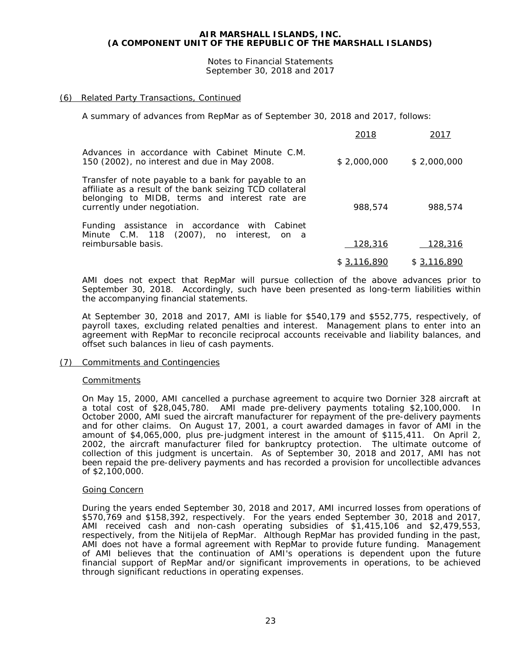Notes to Financial Statements September 30, 2018 and 2017

# (6) Related Party Transactions, Continued

A summary of advances from RepMar as of September 30, 2018 and 2017, follows:

|                                                                                                                                                                                                    | 2018         | 2017        |
|----------------------------------------------------------------------------------------------------------------------------------------------------------------------------------------------------|--------------|-------------|
| Advances in accordance with Cabinet Minute C.M.<br>150 (2002), no interest and due in May 2008.                                                                                                    | \$2,000,000  | \$2,000,000 |
| Transfer of note payable to a bank for payable to an<br>affiliate as a result of the bank seizing TCD collateral<br>belonging to MIDB, terms and interest rate are<br>currently under negotiation. | 988,574      | 988,574     |
| Funding assistance in accordance with Cabinet<br>Minute C.M. 118 (2007), no interest, on a<br>reimbursable basis.                                                                                  | 128,316      | 128,316     |
|                                                                                                                                                                                                    | \$ 3,116,890 | \$3,116,890 |

AMI does not expect that RepMar will pursue collection of the above advances prior to September 30, 2018. Accordingly, such have been presented as long-term liabilities within the accompanying financial statements.

At September 30, 2018 and 2017, AMI is liable for \$540,179 and \$552,775, respectively, of payroll taxes, excluding related penalties and interest. Management plans to enter into an agreement with RepMar to reconcile reciprocal accounts receivable and liability balances, and offset such balances in lieu of cash payments.

#### (7) Commitments and Contingencies

#### **Commitments**

On May 15, 2000, AMI cancelled a purchase agreement to acquire two Dornier 328 aircraft at a total cost of \$28,045,780. AMI made pre-delivery payments totaling \$2,100,000. In October 2000, AMI sued the aircraft manufacturer for repayment of the pre-delivery payments and for other claims. On August 17, 2001, a court awarded damages in favor of AMI in the amount of \$4,065,000, plus pre-judgment interest in the amount of \$115,411. On April 2, 2002, the aircraft manufacturer filed for bankruptcy protection. The ultimate outcome of collection of this judgment is uncertain. As of September 30, 2018 and 2017, AMI has not been repaid the pre-delivery payments and has recorded a provision for uncollectible advances of \$2,100,000.

#### Going Concern

During the years ended September 30, 2018 and 2017, AMI incurred losses from operations of \$570,769 and \$158,392, respectively. For the years ended September 30, 2018 and 2017, AMI received cash and non-cash operating subsidies of \$1,415,106 and \$2,479,553, respectively, from the Nitijela of RepMar. Although RepMar has provided funding in the past, AMI does not have a formal agreement with RepMar to provide future funding. Management of AMI believes that the continuation of AMI's operations is dependent upon the future financial support of RepMar and/or significant improvements in operations, to be achieved through significant reductions in operating expenses.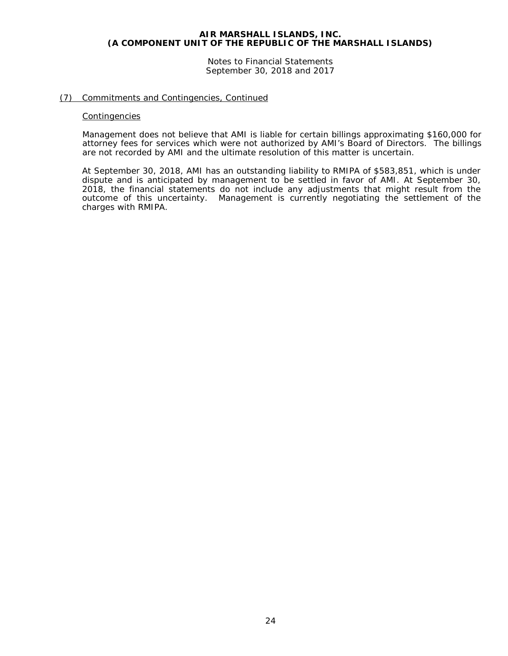Notes to Financial Statements September 30, 2018 and 2017

# (7) Commitments and Contingencies, Continued

#### **Contingencies**

Management does not believe that AMI is liable for certain billings approximating \$160,000 for attorney fees for services which were not authorized by AMI's Board of Directors. The billings are not recorded by AMI and the ultimate resolution of this matter is uncertain.

At September 30, 2018, AMI has an outstanding liability to RMIPA of \$583,851, which is under dispute and is anticipated by management to be settled in favor of AMI. At September 30, 2018, the financial statements do not include any adjustments that might result from the outcome of this uncertainty. Management is currently negotiating the settlement of the charges with RMIPA.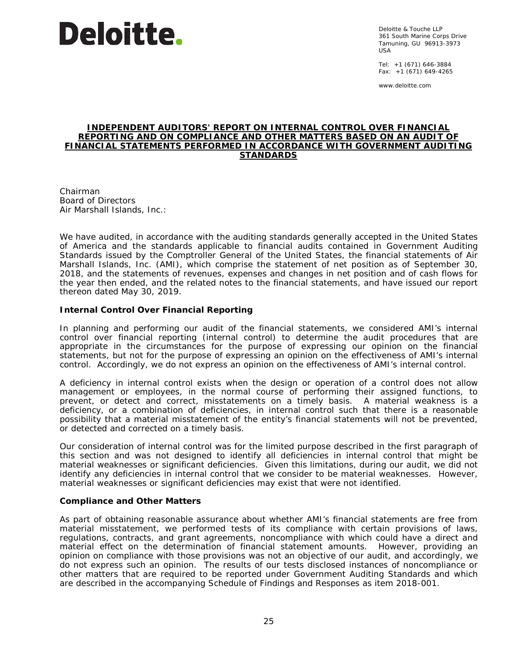# **Deloitte.**

Deloitte & Touche LLP 361 South Marine Corps Drive Tamuning, GU 96913-3973 USA

Tel: +1 (671) 646-3884 Fax: +1 (671) 649-4265

www.deloitte.com

#### **INDEPENDENT AUDITORS' REPORT ON INTERNAL CONTROL OVER FINANCIAL REPORTING AND ON COMPLIANCE AND OTHER MATTERS BASED ON AN AUDIT OF FINANCIAL STATEMENTS PERFORMED IN ACCORDANCE WITH** *GOVERNMENT AUDITING STANDARDS*

Chairman Board of Directors Air Marshall Islands, Inc.:

We have audited, in accordance with the auditing standards generally accepted in the United States of America and the standards applicable to financial audits contained in *Government Auditing Standards* issued by the Comptroller General of the United States, the financial statements of Air Marshall Islands, Inc. (AMI), which comprise the statement of net position as of September 30, 2018, and the statements of revenues, expenses and changes in net position and of cash flows for the year then ended, and the related notes to the financial statements, and have issued our report thereon dated May 30, 2019.

# **Internal Control Over Financial Reporting**

In planning and performing our audit of the financial statements, we considered AMI's internal control over financial reporting (internal control) to determine the audit procedures that are appropriate in the circumstances for the purpose of expressing our opinion on the financial statements, but not for the purpose of expressing an opinion on the effectiveness of AMI's internal control. Accordingly, we do not express an opinion on the effectiveness of AMI's internal control.

A *deficiency in internal control* exists when the design or operation of a control does not allow management or employees, in the normal course of performing their assigned functions, to prevent, or detect and correct, misstatements on a timely basis. A *material weakness* is a deficiency, or a combination of deficiencies, in internal control such that there is a reasonable possibility that a material misstatement of the entity's financial statements will not be prevented, or detected and corrected on a timely basis.

Our consideration of internal control was for the limited purpose described in the first paragraph of this section and was not designed to identify all deficiencies in internal control that might be material weaknesses or significant deficiencies. Given this limitations, during our audit, we did not identify any deficiencies in internal control that we consider to be material weaknesses. However, material weaknesses or significant deficiencies may exist that were not identified.

#### **Compliance and Other Matters**

As part of obtaining reasonable assurance about whether AMI's financial statements are free from material misstatement, we performed tests of its compliance with certain provisions of laws, regulations, contracts, and grant agreements, noncompliance with which could have a direct and material effect on the determination of financial statement amounts. However, providing an opinion on compliance with those provisions was not an objective of our audit, and accordingly, we do not express such an opinion. The results of our tests disclosed instances of noncompliance or other matters that are required to be reported under *Government Auditing Standards* and which are described in the accompanying Schedule of Findings and Responses as item 2018-001.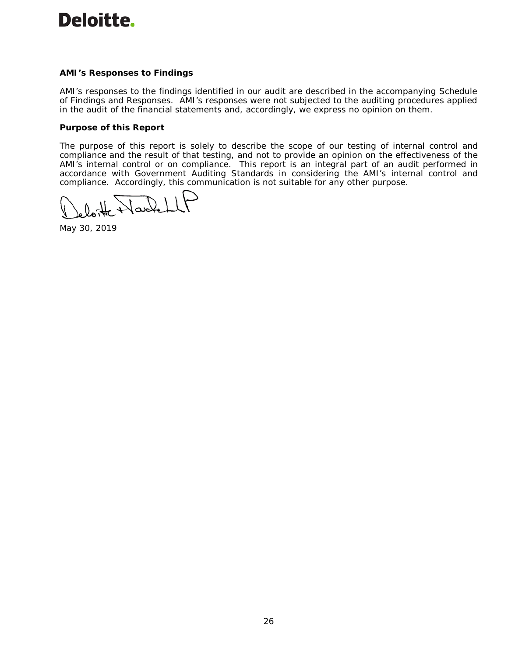# Deloitte.

# **AMI's Responses to Findings**

AMI's responses to the findings identified in our audit are described in the accompanying Schedule of Findings and Responses. AMI's responses were not subjected to the auditing procedures applied in the audit of the financial statements and, accordingly, we express no opinion on them.

# **Purpose of this Report**

The purpose of this report is solely to describe the scope of our testing of internal control and compliance and the result of that testing, and not to provide an opinion on the effectiveness of the AMI's internal control or on compliance. This report is an integral part of an audit performed in accordance with *Government Auditing Standards* in considering the AMI's internal control and compliance. Accordingly, this communication is not suitable for any other purpose.

Wackel

May 30, 2019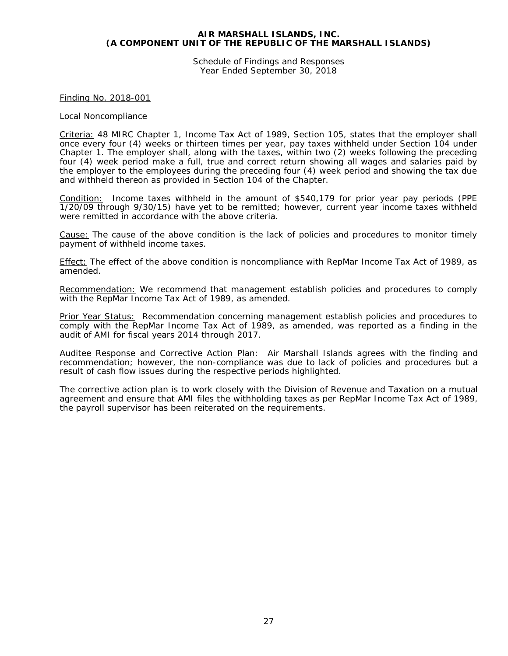Schedule of Findings and Responses Year Ended September 30, 2018

#### Finding No. 2018-001

#### Local Noncompliance

Criteria: 48 MIRC Chapter 1, Income Tax Act of 1989, Section 105, states that the employer shall once every four (4) weeks or thirteen times per year, pay taxes withheld under Section 104 under Chapter 1. The employer shall, along with the taxes, within two (2) weeks following the preceding four (4) week period make a full, true and correct return showing all wages and salaries paid by the employer to the employees during the preceding four (4) week period and showing the tax due and withheld thereon as provided in Section 104 of the Chapter.

Condition: Income taxes withheld in the amount of \$540,179 for prior year pay periods (PPE 1/20/09 through 9/30/15) have yet to be remitted; however, current year income taxes withheld were remitted in accordance with the above criteria.

Cause: The cause of the above condition is the lack of policies and procedures to monitor timely payment of withheld income taxes.

Effect: The effect of the above condition is noncompliance with RepMar Income Tax Act of 1989, as amended.

Recommendation: We recommend that management establish policies and procedures to comply with the RepMar Income Tax Act of 1989, as amended.

Prior Year Status: Recommendation concerning management establish policies and procedures to comply with the RepMar Income Tax Act of 1989, as amended, was reported as a finding in the audit of AMI for fiscal years 2014 through 2017.

Auditee Response and Corrective Action Plan: Air Marshall Islands agrees with the finding and recommendation; however, the non-compliance was due to lack of policies and procedures but a result of cash flow issues during the respective periods highlighted.

The corrective action plan is to work closely with the Division of Revenue and Taxation on a mutual agreement and ensure that AMI files the withholding taxes as per RepMar Income Tax Act of 1989, the payroll supervisor has been reiterated on the requirements.